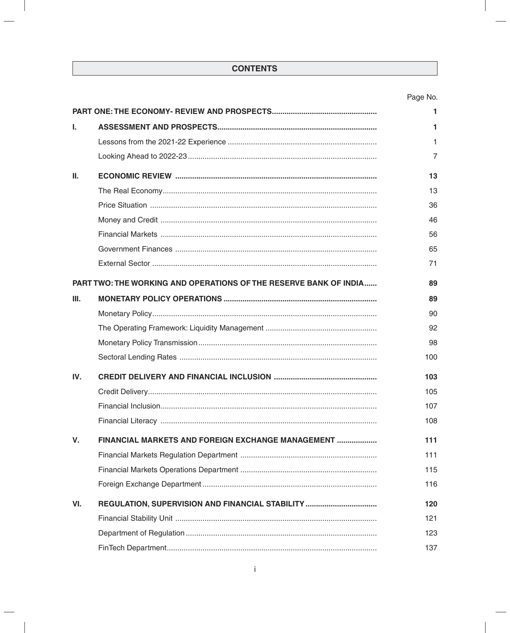# Page No.

|     |                                                                          | 1   |
|-----|--------------------------------------------------------------------------|-----|
| T.  |                                                                          |     |
|     |                                                                          | 1   |
|     |                                                                          | 7   |
| Ш.  |                                                                          | 13  |
|     |                                                                          | 13  |
|     |                                                                          | 36  |
|     |                                                                          | 46  |
|     |                                                                          | 56  |
|     |                                                                          | 65  |
|     |                                                                          | 71  |
|     | <b>PART TWO: THE WORKING AND OPERATIONS OF THE RESERVE BANK OF INDIA</b> | 89  |
| Ш.  |                                                                          | 89  |
|     |                                                                          | 90  |
|     |                                                                          | 92  |
|     |                                                                          | 98  |
|     |                                                                          | 100 |
| IV. |                                                                          | 103 |
|     |                                                                          | 105 |
|     |                                                                          | 107 |
|     |                                                                          | 108 |
| V.  | FINANCIAL MARKETS AND FOREIGN EXCHANGE MANAGEMENT                        | 111 |
|     |                                                                          | 111 |
|     |                                                                          | 115 |
|     |                                                                          | 116 |
| VI. | REGULATION, SUPERVISION AND FINANCIAL STABILITY                          | 120 |
|     |                                                                          | 121 |
|     |                                                                          | 123 |
|     |                                                                          | 137 |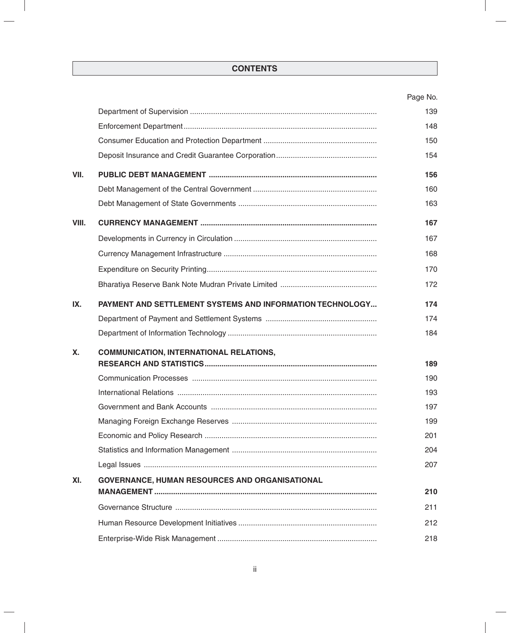|           |                                                           | Page No. |
|-----------|-----------------------------------------------------------|----------|
|           |                                                           | 139      |
|           |                                                           | 148      |
|           |                                                           | 150      |
|           |                                                           | 154      |
| VII.      |                                                           | 156      |
|           |                                                           | 160      |
|           |                                                           | 163      |
| VIII.     |                                                           | 167      |
|           |                                                           | 167      |
|           |                                                           | 168      |
|           |                                                           | 170      |
|           |                                                           | 172      |
| IX.       | PAYMENT AND SETTLEMENT SYSTEMS AND INFORMATION TECHNOLOGY | 174      |
|           |                                                           | 174      |
|           |                                                           | 184      |
| <b>X.</b> | <b>COMMUNICATION, INTERNATIONAL RELATIONS,</b>            |          |
|           |                                                           | 189      |
|           |                                                           | 190      |
|           |                                                           | 193      |
|           |                                                           | 197      |
|           |                                                           | 199      |
|           |                                                           | 201      |
|           |                                                           | 204      |
|           |                                                           | 207      |
| XI.       | <b>GOVERNANCE, HUMAN RESOURCES AND ORGANISATIONAL</b>     |          |
|           |                                                           | 210      |
|           |                                                           | 211      |
|           |                                                           | 212      |
|           |                                                           | 218      |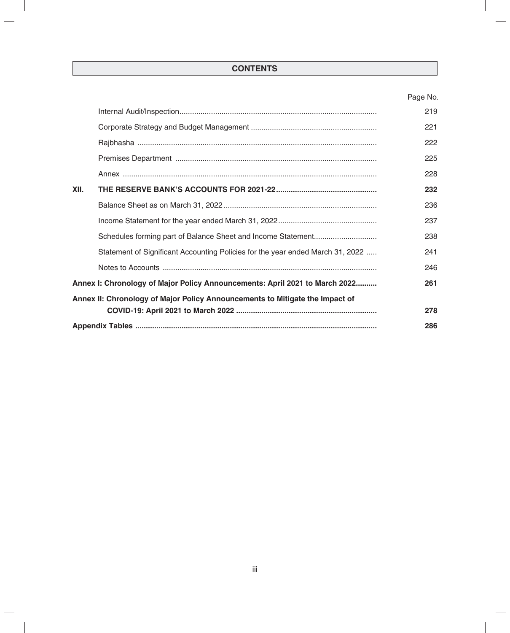# Page No.

|                                                                              |                                                                                | 219 |
|------------------------------------------------------------------------------|--------------------------------------------------------------------------------|-----|
|                                                                              |                                                                                | 221 |
|                                                                              |                                                                                | 222 |
|                                                                              |                                                                                | 225 |
|                                                                              |                                                                                | 228 |
| XII.                                                                         |                                                                                | 232 |
|                                                                              |                                                                                | 236 |
|                                                                              |                                                                                | 237 |
|                                                                              |                                                                                | 238 |
|                                                                              | Statement of Significant Accounting Policies for the year ended March 31, 2022 | 241 |
|                                                                              |                                                                                | 246 |
| Annex I: Chronology of Major Policy Announcements: April 2021 to March 2022  |                                                                                | 261 |
| Annex II: Chronology of Major Policy Announcements to Mitigate the Impact of |                                                                                |     |
|                                                                              |                                                                                | 278 |
|                                                                              |                                                                                | 286 |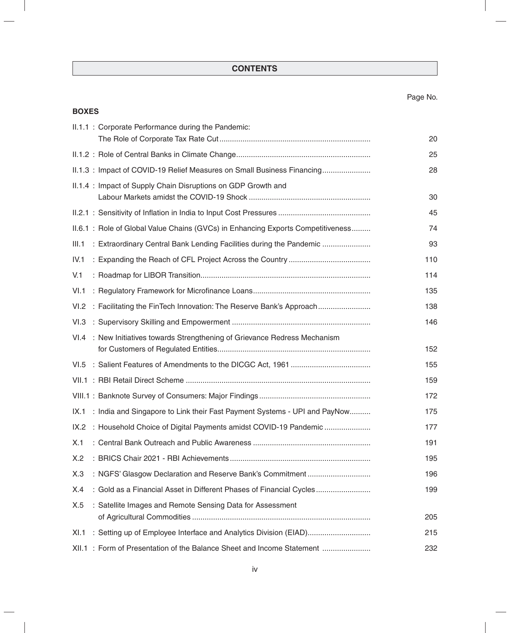# Page No.

|       | <b>BOXES</b> |                                                                                  |     |  |  |  |
|-------|--------------|----------------------------------------------------------------------------------|-----|--|--|--|
|       |              | II.1.1 : Corporate Performance during the Pandemic:                              | 20  |  |  |  |
|       |              |                                                                                  | 25  |  |  |  |
|       |              | II.1.3: Impact of COVID-19 Relief Measures on Small Business Financing           | 28  |  |  |  |
|       |              | II.1.4 : Impact of Supply Chain Disruptions on GDP Growth and                    | 30  |  |  |  |
|       |              |                                                                                  | 45  |  |  |  |
|       |              | II.6.1 : Role of Global Value Chains (GVCs) in Enhancing Exports Competitiveness | 74  |  |  |  |
| III.1 |              | : Extraordinary Central Bank Lending Facilities during the Pandemic              | 93  |  |  |  |
| IV.1  |              |                                                                                  | 110 |  |  |  |
| V.1   |              |                                                                                  | 114 |  |  |  |
| VI.1  |              |                                                                                  | 135 |  |  |  |
| VI.2  |              | : Facilitating the FinTech Innovation: The Reserve Bank's Approach               | 138 |  |  |  |
|       |              |                                                                                  | 146 |  |  |  |
|       |              | VI.4 : New Initiatives towards Strengthening of Grievance Redress Mechanism      | 152 |  |  |  |
|       |              |                                                                                  | 155 |  |  |  |
|       |              |                                                                                  | 159 |  |  |  |
|       |              |                                                                                  | 172 |  |  |  |
|       |              | IX.1 : India and Singapore to Link their Fast Payment Systems - UPI and PayNow   | 175 |  |  |  |
|       |              | IX.2 : Household Choice of Digital Payments amidst COVID-19 Pandemic             | 177 |  |  |  |
| X.1   |              |                                                                                  | 191 |  |  |  |
| X.2   |              |                                                                                  | 195 |  |  |  |
| X.3   |              | : NGFS' Glasgow Declaration and Reserve Bank's Commitment                        | 196 |  |  |  |
| X.4   |              | : Gold as a Financial Asset in Different Phases of Financial Cycles              | 199 |  |  |  |
| X.5   |              | : Satellite Images and Remote Sensing Data for Assessment                        | 205 |  |  |  |
| XI.1  |              |                                                                                  | 215 |  |  |  |
|       |              | XII.1 : Form of Presentation of the Balance Sheet and Income Statement           | 232 |  |  |  |